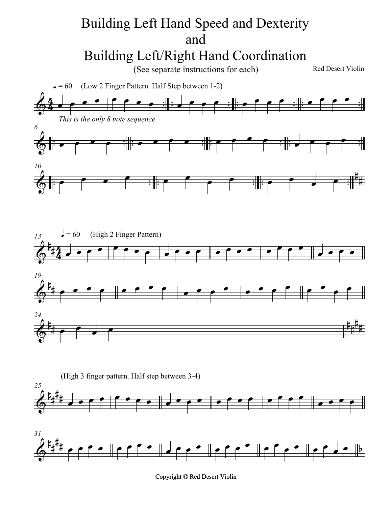## Building Left Hand Speed and Dexterity and Building Left/Right Hand Coordination

(See separate instructions for each)

Red Desert Violin







Copyright © Red Desert Violin